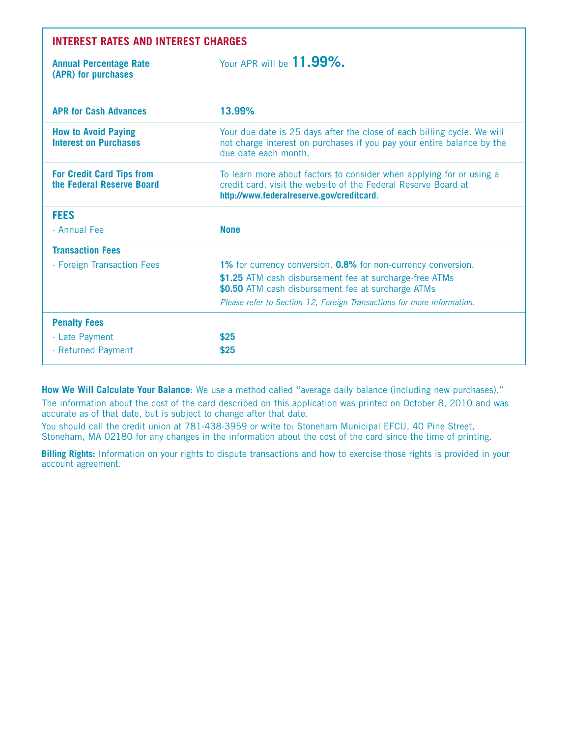| <b>INTEREST RATES AND INTEREST CHARGES</b>                    |                                                                                                                                                                                     |  |  |  |  |  |  |  |
|---------------------------------------------------------------|-------------------------------------------------------------------------------------------------------------------------------------------------------------------------------------|--|--|--|--|--|--|--|
| <b>Annual Percentage Rate</b><br>(APR) for purchases          | Your APR will be <b>11.99%.</b>                                                                                                                                                     |  |  |  |  |  |  |  |
| <b>APR for Cash Advances</b>                                  | 13.99%                                                                                                                                                                              |  |  |  |  |  |  |  |
| <b>How to Avoid Paying</b><br><b>Interest on Purchases</b>    | Your due date is 25 days after the close of each billing cycle. We will<br>not charge interest on purchases if you pay your entire balance by the<br>due date each month.           |  |  |  |  |  |  |  |
| <b>For Credit Card Tips from</b><br>the Federal Reserve Board | To learn more about factors to consider when applying for or using a<br>credit card, visit the website of the Federal Reserve Board at<br>http://www.federalreserve.gov/creditcard. |  |  |  |  |  |  |  |
| <b>FEES</b>                                                   |                                                                                                                                                                                     |  |  |  |  |  |  |  |
| · Annual Fee                                                  | <b>None</b>                                                                                                                                                                         |  |  |  |  |  |  |  |
| <b>Transaction Fees</b>                                       |                                                                                                                                                                                     |  |  |  |  |  |  |  |
| · Foreign Transaction Fees                                    | 1% for currency conversion. 0.8% for non-currency conversion.                                                                                                                       |  |  |  |  |  |  |  |
|                                                               | \$1.25 ATM cash disbursement fee at surcharge-free ATMs<br>\$0.50 ATM cash disbursement fee at surcharge ATMs                                                                       |  |  |  |  |  |  |  |
|                                                               | Please refer to Section 12, Foreign Transactions for more information.                                                                                                              |  |  |  |  |  |  |  |
| <b>Penalty Fees</b>                                           |                                                                                                                                                                                     |  |  |  |  |  |  |  |
| · Late Payment                                                | \$25                                                                                                                                                                                |  |  |  |  |  |  |  |
| · Returned Payment                                            | \$25                                                                                                                                                                                |  |  |  |  |  |  |  |

**How We Will Calculate Your Balance**: We use a method called "average daily balance (including new purchases)."

The information about the cost of the card described on this application was printed on October 8, 2010 and was accurate as of that date, but is subject to change after that date.

You should call the credit union at 781-438-3959 or write to: Stoneham Municipal EFCU, 40 Pine Street, Stoneham, MA 02180 for any changes in the information about the cost of the card since the time of printing.

**Billing Rights:** Information on your rights to dispute transactions and how to exercise those rights is provided in your account agreement.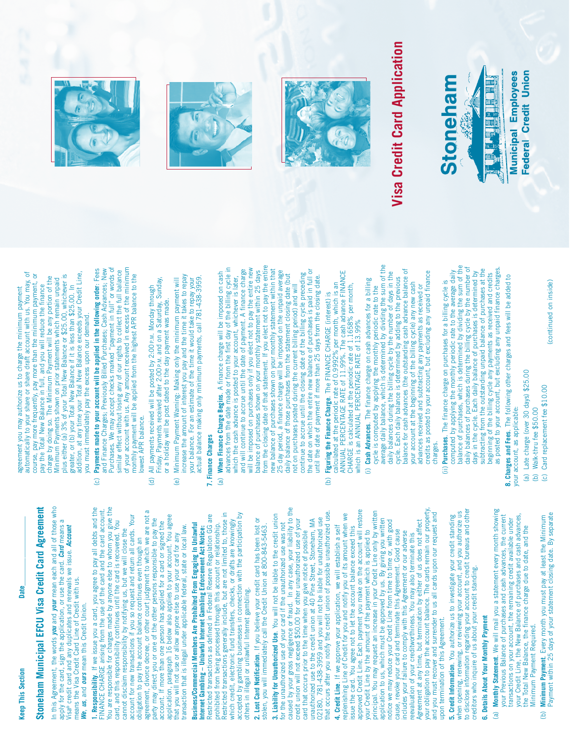Date

## **Stoneham Municipal EFC U Visa Credit Card A**

**greement**

### In this Agreement, the words you and your mean each and all of those who In this Agreement, the words *you* and *your* mean each and all of those who apply for the card, sign the application, or use the card. Card means a apply for the card, sign the application, or use the card. *Card* means a Visa® credit card and any duplicates and renewals we issue. *Account* lisa® credit card and any duplicates and renewals we issue. Account

**1. Responsibility.** If we issue you a card, you agree to pay all debts and the<br>FINANCE CHARGE arising from the use of the card and the card account. **1. Responsibility**. If we issue you a card, you agree to pay all debts and the FINANCE CHARGE arising from the use of the card and the card account. account for new transactions if you so request and return all cards. Your account for new transactions if you so request and return all cards. Your card, and this responsibility continues until the card is recovered. You card, and this responsibility continues until the card is recovered. You cannot disclaim responsibility by notifying us, but we will close the cannot disclaim responsibility by notifying us, but we will close the means the Visa Credit Card Line of Credit with us. means the Visa Credit Card Line of Credit with us. We, us, and ours mean this Credit Union. *We*, *us*, and *ours* mean this Credit Union.

You are responsible for charges made by anyone else to whom you give the You are responsible for charges made by anyone else to whom you give the agreement, divorce decree, or other court judgment to which we are not a agreement, divorce decree, or other court judgment to which we are not a application, paragraph 16 below also applies to your account. You agree application, paragraph 16 below also applies to your account. You agree party may direct you or one of the other persons responsible to pay the party may direct you or one of the other persons responsible to pay the account. If more than one person has applied for a card or signed the account. If more than one person has applied for a card or signed the transaction that is illegal under applicable federal, state or local law. transaction that is illegal under applicable federal, state or local law. that you will not use or allow anyone else to use your card for any that you will not use or allow anyone else to use your card for any obligation to pay the account balance continues even though an obligation to pay the account balance continues even though an

Restricted transactions generally include, but are not limited to, those in Restricted transactions as defined in Federal Reserve Regulation GG are accepted by gambling businesses in connection with the participation by Restricted transactions generally include, but are not limited to, those in accepted by gambling businesses in connection with the participation by Restricted transactions as defined in Federal Reserve Regulation GG are which credit, electronic fund transfers, checks, or drafts are knowingly which credit, electronic fund transfers, checks, or drafts are knowingly Business/Commercial Members Are Prohibited From Engaging In Unlawful prohibited from being processed through this account or relationship. **Business/Commercial Members Are Prohibited From Engaging In Unlawful** prohibited from being processed through this account or relationship. Internet Gambling - Unlawful Internet Gambling Enforcement Act Notice: **Internet Gambling – Unlawful Internet Gambling Enforcement Act Notice:** others in illegal or unlawful Internet gambling. others in illegal or unlawful Internet gambling.

2. Lost Card Notification. If you believe your credit card has been lost or **2. Lost Card Notification**. If you believe your credit card has been lost or stolen, you will immediately call the Credit Union at 800-843-5463. mediately call the Credit Union at 800-843-5463. stolen, you will im

caused by your gross negligence or fraud. In any case, your liability to the caused by your gross negligence or fraud. In any case, your liability to the that occurs after you notify the credit union of possible unauthorized use. that occurs after you notify the credit union of possible unauthorized use. 3. Liability for Unauthorized Use. You will not be liable to the credit union **3. Liability for Unauthorized Use**. You will not be liable to the credit union credit union will not exceed \$50.00 for other unauthorized use of your unauthorized use to the credit union at 40 Pine Street, Stoneham, MA 02180, 781-438-3959 and you will not be liable for unauthorized use 02180, 781-438-3959 and you will not be liable for unauthorized use credit union will not exceed \$50.00 for other unauthorized use of your unauthorized use to the credit union at 40 Pine Street, Stoneham, MA for the unauthorized use of your card if the unauthorized use was not for the unauthorized use of your card if the unauthorized use was not card that occurs prior to the time when you give notice of possible card that occurs prior to the time when you give notice of possible

your obligation to pay the account balance. The cards remain our property, approved Credit Line. Each payment you make on the account will restore your obligation to pay the account balance. The cards remain our property, approved Credit Line. Each payment you make on the account will restore principal. You may request an increase in your Credit Line only by written principal. You may request an increase in your Credit Line only by written replenishing Line of Credit for you and notify you of its amount when we and you must recover and surrender to us all cards upon our request and and you must recover and surrender to us all cards upon our request and replenishing Line of Credit for you and notify you of its amount when we application to us, which must be approved by us. By giving you written Agreement at any time, but termination by either of us does not affect application to us, which must be approved by us. By giving you written notice we may reduce your Credit Line from time to time or, with good notice we may reduce your Credit Line from time to time or, with good Agreement at any time, but termination by either of us does not affect 4. Credit Line. If we approve your application, we will establish a self issue the card. You agree not to let the account balance exceed this **4. Credit Line**. If we approve your application, we will establish a self your Credit Line by the amount of the payment which is applied to issue the card. You agree not to let the account balance exceed this cause, revoke your card and terminate this Agreement. Good cause cause, revoke your card and terminate this Agreement. Good cause includes your failure to comply with this Agreement or our adverse your Credit Line by the amount of the payment which is applied to includes your failure to comply with this Agreement or our adverse reevaluation of your creditworthiness. You may also terminate this reevaluation of your creditworthiness. You may also terminate this upon termination of this Agreement. upon termination of this Agreement.

when opening, renewing, or reviewing your account, and you authorize us<br>to disclose information regarding your account to credit bureaus and other to disclose information regarding your account to credit bureaus and other when opening, renewing, or reviewing your account, and you authorize us 5. Credit Information. You authorize us to investigate your credit standing **5. Credit Information**. You authorize us to investigate your credit standing creditors who inquire of us about your credit standing. creditors who inquire of us about your credit standing.

# **6. Details About Your Monthly Payment 6. Details About Your Monthly Payment**

- (a) Monthly Statement. We will mail you a statement every month showing (a) **Monthly Statement**. We will mail you a statement every month showing your Previous Balance of purchases and cash advances, the current your Credit Line, the New Balance of purchases and cash advances. your Credit Line, the New Balance of purchases and cash advances, your Previous Balance of purchases and cash advances, the current transactions on your account, the remaining credit available under transactions on your account, the remaining credit available under the Total New Balance, the finance charge due to date, and the the Total New Balance, the finance charge due to date, and the Minimum Payment Required. Minimum Payment Required.
- Minimum Payment. Every month you must pay at least the Minimum<br>Payment within 25 days of your statement closing date. By separate Payment within 25 days of your statement closing date. By separate (b) **Minimum Payment**. Every month you must pay at least the Minimum  $\widehat{\mathbf{e}}$

automatically to your share or share draft account with us. You may, of course, pay more frequently, pay more than the minimum payment, or<br>pay the Total New Balance in full, and you will reduce the finance<br>charge by doing so. The Minimum Payment will be any portion of the addition, at any time your Total New Balance exceeds your Credit Line, automatically to your share or share draft account with us. You may, of plus either (a) 3% of your Total New Balance or \$25.00, whichever is addition, at any time your Total New Balance exceeds your Credit Line, course, pay more frequently, pay more than the minimum payment, or plus either (a) 3% of your Total New Balance or \$25.00, whichever is charge by doing so. The Minimum Payment will be any portion of the Minimum Payments shown on prior statements which remain unpaid Minimum Payments shown on prior statements which remain unpaid greater, or (b) your Total New Balance if it is less than \$25.00. In agreement you may authorize us to charge the minimum payment pay the Total New Balance in full, and you will reduce the finance greater, or (b) your Total New Balance if it is less than \$25.00. In agreement you may authorize us to charge the minimum payment you must immediately pay the excess upon our demand. mediately pay the excess upon our demand. you must im

- of your account with us. Any amount received in excess of the minimum Payments made to your account will be applied in the following order: Fees and Finance Charges; Previously Billed Purchases; Cash Advances; New Purchases. We may accept checks marked "payment in full" or words of Purchases. We may accept checks marked "payment in full" or words of of your account with us. Any amount received in excess of the minimum (c) **Payments made to your account will be applied in the following order**: Fees and Finance Charges; Previously Billed Purchases; Cash Advances; New similar effect without losing any of our rights to collect the full balance similar effect without losing any of our rights to collect the full balance monthly payment will be applied from the highest APR balance to the monthly payment will be applied from the highest APR balance to the lowest APR balance. lowest APR balance.  $\odot$
- Friday. Payments received after 2:00 P.M. and on a Saturday, Sunday, Friday. Payments received after 2:00 P.M. and on a Saturday, Sunday, All payments received will be posted by 2:00 P.M. Monday through (d) All payments received will be posted by 2:00P.M. Monday through or a holiday will be post dated to the day payment was made. or a holiday will be post dated to the day payment was made.  $\widehat{\sigma}$
- increase the amount of interest you pay and the time it takes to repay increase the amount of interest you pay and the time it takes to repay actual balance making only minimum payments, call 781-438-3959. actual balance making only minimum payments, call 781-438-3959. Minimum Payment Warning: Making only the minimum payment will your balance. For an estimate of the time it would take to repay your (e) Minimum Payment Warning: Making only the minimum payment will your balance. For an estimate of the time it would take to repay your ම

#### 7. Finance Charges **7. Finance Charges**

- (a) When Finance Charge Begins. A finance charge will be imposed on cash advances from the date made or from the first day of the billing cycle in which the cash advance is posted to your account, whichever is later, from the closing date of that statement. If you elect not to pay the entire from the closing date of that statement. If you elect not to pay the entire will be imposed on purchases only if you elect not to pay the entire new advances from the date made or from the first day of the billing cycle in and will continue to accrue until the date of payment. A finance charge will be imposed on purchases only if you elect not to pay the entire new new balance of purchases shown on your monthly statement within that the date on which the entire new balance of purchases is paid in full or new balance of purchases shown on your monthly statement within that the date on which the entire new balance of purchases is paid in full or and will continue to accrue until the date of payment. A finance charge balance of purchases shown on your monthly statement within 25 days 25 day period, a finance charge will be imposed on the unpaid average 25 day period, a finance charge will be imposed on the unpaid average balance of purchases shown on your monthly statement within 25 days continue to accrue until the closing date of the billing cycle preceding (a) **When Finance Charge Begins**. A finance charge will be imposed on cash daily balance of those purchases from the statement closing date (but continue to accrue until the closing date of the billing cycle preceding daily balance of those purchases from the statement closing date (but until the date of payment if more than 25 days from the closing date. until the date of payment if more than 25 days from the closing date. which the cash advance is posted to your account, whichever is later, not on purchases posted during the current billing period) and will not on purchases posted during the current billing period) and will
- ANNUAL PERCENTAGE RATE of 11.99%. The cash advance FINANCE ANNUAL PERCENTAGE RATE of 11.99%. The cash advance FINANCE calculated at the periodic rate of 0.9992% per month, which is an calculated at the periodic rate of 0.9992% per month, which is an CHARGE is calculated at the periodic rate of 1.1658% per month, CHARGE is calculated at the periodic rate of 1.1658% per month, Figuring the Finance Charge. The FINANCE CHARGE (interest) is (b) **Figuring the Finance Charge**. The FINANCE CHARGE (interest) is which is an ANNUAL PERCENTAGE RATE of 13.99% which is an ANNUAL PERCENTAGE RATE of 13.99%  $\hat{\Theta}$
- cycle is computed by applying the monthly periodic rate to the<br>average daily balance, which is determined by dividing the sum of the average daily balance, which is determined by dividing the sum of the balance for cash advances (the outstanding cash advance balance of balance for cash advances (the outstanding cash advance balance of daily balances during the billing cycle by the number of days in the credits as posted to your account, but excluding any unpaid finance credits as posted to your account, but excluding any unpaid finance daily balances during the billing cycle by the number of days in the cycle. Each daily balance is determined by adding to the previous (i) Cash Advances. The finance charge on cash advances for a billing cycle. Each daily balance is determined by adding to the previous (i) **Cash Advances**. The finance charge on cash advances for a billing your account at the beginning of the billing cycle) any new cash your account at the beginning of the billing cycle) any new cash advances received and subtracting any payments as received or advances received and subtracting any payments as received or cycle is computed by applying the monthly periodic rate to the charges.
	- balance of purchases, which is determined by dividing the sum of the balance of purchases, which is determined by dividing the sum of the daily balances of purchases during the billing cycle by the number of subtracting from the outstanding unpaid balance of purchases at the daily balances of purchases during the billing cycle by the number of as posted to your account, but excluding any unpaid finance charges. as posted to your account, but excluding any unpaid finance charges. computed by applying the monthly periodic rate to the average daily subtracting from the outstanding unpaid balance of purchases at the computed by applying the monthly periodic rate to the average daily days in the cycle. Each daily balance of purchases is determined by days in the cycle. Each daily balance of purchases is determined by beginning of the billing cycle any payments as received and credits beginning of the billing cycle any payments as received and credits (ii) Purchases. The finance charge on purchases for a billing cycle is (ii) **Purchases**. The finance charge on purchases for a billing cycle is

8. Charges and Fees. The following other charges and fees will be added to **8. Charges and Fees**. The following other charges and fees will be added to your account, as applicable: your account, as applicable:

- (a) Late charge (over 30 days) \$25.00 (a) Late charge (over 30 days) \$25.00
	- Walk-thru fee \$50.00 (b) Walk-thru fee \$50.00  $\widehat{\Theta}$ 
		- Card replacement fee \$10.00 (c) Card replacement fee \$10.00 $\odot$
- (continued on inside) (continued on inside)







#### **Vis a Cre dit C ard A p plic atio n**

# **Stoneham**

**Municipal Employees 1998年1月1日** 

Federal Credit Union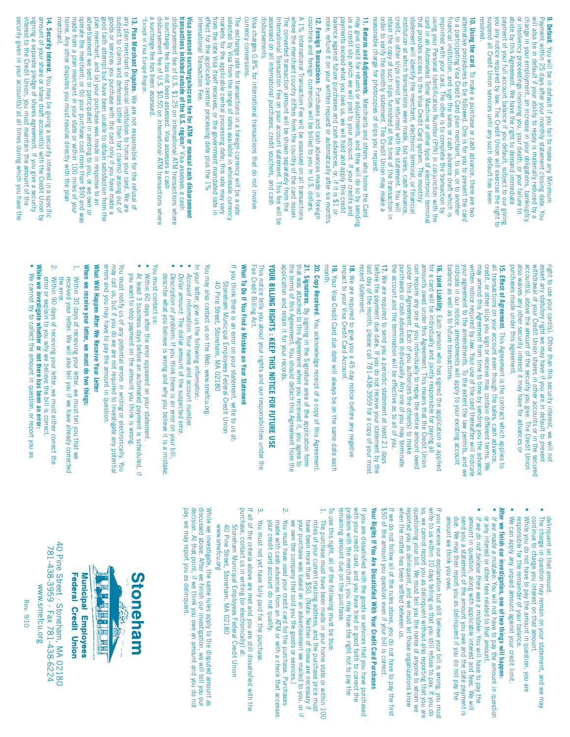| <b>14. Security Interest.</b> You may be giving a security interest in a specific<br>annount of your share or share draft account(s) with the Credit Union by<br>amount of your share or share draft account(s) with the Credit Union by<br>merchant.<br><b>13. Plan Merchant Disputes.</b> We are not responsible for the refusal of any plan merchant or financial institution to honor your card. We are subject to claims and defenses (ther than tot claims) arising out of subject to<br>Visa assessed surcharge/access fee for ATM or manual cash disbursement<br>transactions initiated outside of the U.S. region:" Visa assesses a cash<br>disbursement fee of U.S. \$1.25 on international ATM transactions where<br>a surch<br>The exchange rate for transactions in a foreign currency will be a rate<br>selected by Visa from the range of rates available in wholesale currency<br>selected by Visa from the range of rates available in wholesale currency<br>fro<br>currency conversions.<br>Visa charges 0.8% for international transactions that do not involve<br>disbursements.<br>The converted transaction amount will be shown separately from the<br>International Transaction Fee on your account statement. This fee will be<br>assessed on all international purchases, credit vouchers, and cash<br>A 1% International Transaction Fee will be assessed on all transactions<br>where the merchant country differs from the country of the card issuer.<br><b>12. Foreign Transactions</b> . Purchases and cash advances made in foreign<br>countries and foreign currencies will be billed to you in U.S. dollars.<br>may give credit for returns or adjustments, and they will do so by sending<br>us a credit slip which we will post to your account. If your credits and<br>payments exceed what you owe us, we will hold and apply this credit<br>balanc<br>11. Returns and Adjustments. Merchants and others who honor the Card<br><b>10. Using the card.</b> To make a purchase or cash advance, there are two alternative procedures to be followed. One is for you to present the card alternative procedures to be followed. One is for you to present the card t<br>resolved.<br><b>9. Default</b> . You will be in default if you fail to make any Minimum<br><b>P. Default</b> . You will be in default if your monthly statement closing date. You<br>will also be in default if your ability to repay is materially reduced<br>*Except in Visa Europe Region. |
|-----------------------------------------------------------------------------------------------------------------------------------------------------------------------------------------------------------------------------------------------------------------------------------------------------------------------------------------------------------------------------------------------------------------------------------------------------------------------------------------------------------------------------------------------------------------------------------------------------------------------------------------------------------------------------------------------------------------------------------------------------------------------------------------------------------------------------------------------------------------------------------------------------------------------------------------------------------------------------------------------------------------------------------------------------------------------------------------------------------------------------------------------------------------------------------------------------------------------------------------------------------------------------------------------------------------------------------------------------------------------------------------------------------------------------------------------------------------------------------------------------------------------------------------------------------------------------------------------------------------------------------------------------------------------------------------------------------------------------------------------------------------------------------------------------------------------------------------------------------------------------------------------------------------------------------------------------------------------------------------------------------------------------------------------------------------------------------------------------------------------------------------------------------------------------------------------------------------------------------------------------------------------------------------------------------------------------------------------------------------------------------------------------------------------------------------------------------------------------------------------------------|
|-----------------------------------------------------------------------------------------------------------------------------------------------------------------------------------------------------------------------------------------------------------------------------------------------------------------------------------------------------------------------------------------------------------------------------------------------------------------------------------------------------------------------------------------------------------------------------------------------------------------------------------------------------------------------------------------------------------------------------------------------------------------------------------------------------------------------------------------------------------------------------------------------------------------------------------------------------------------------------------------------------------------------------------------------------------------------------------------------------------------------------------------------------------------------------------------------------------------------------------------------------------------------------------------------------------------------------------------------------------------------------------------------------------------------------------------------------------------------------------------------------------------------------------------------------------------------------------------------------------------------------------------------------------------------------------------------------------------------------------------------------------------------------------------------------------------------------------------------------------------------------------------------------------------------------------------------------------------------------------------------------------------------------------------------------------------------------------------------------------------------------------------------------------------------------------------------------------------------------------------------------------------------------------------------------------------------------------------------------------------------------------------------------------------------------------------------------------------------------------------------------------|

right ಕ use your card(s). Other than this security interest, ≶  $\stackrel{\leq}{=}$ not assert any statutory right we may have if you are in default ಕ prevent withdrawal of your Credit Union shares in other accounts or in the secured account(s), above the amount  $\Xi$ the security you give. The Credit Union also waives any other security interest it may have for advances or purchases made under this agreement.

**15. Effect of Agreement**. This Agreement is the contract which applies  $\Xi$  $\overset{\mathbf{a}}{=}$ transactions on your account even though the sales, cash advance, credit, or other slips you sign or receive may contain different terms. We may amend this Agreement from time ಕ time ভ sending you the advance written notice required হ law. Your use <u>ባ</u> the card thereafter  $\stackrel{\leq}{=}$ indicate your agreement ಕ the amendments. ಕ the extent the law permits, and we indicate in our notice, amendments  $\stackrel{\le}{=}$ apply ಕ your existing account balance as well as ಕ future transactions.

**16. Joint Liability**. Each person § has signed the application or applied for a card  $\stackrel{\leq}{=}$  $\Xi$ individually and jointly responsible for paying  $\overline{a}$ amounts owed under this Agreement. This means that the Credit Union can require any one of you individually to repay the entire amount owed under this Agreement. Each of you authorizes the other(s) ಕ make purchases cash advances individually. Any one of you may terminate the account and the termination  $\stackrel{\leq}{=}$ be effective as ಕ  $\overset{\mathbf{a}}{=}$ of you.

**17.** ≹ ۹<br>آه required ಕ send you a periodic statement  $\overline{\mathbf{a}}$ least 21 days before the payment d<br>Bu date. If you do not receive your statement ভূ the last day <u>ቧ</u> the month, please  $\frac{\mathbf{c}}{2}$ 781-438-3959 for a copy of your most recent statement. statement.

**18.** ≹ ۹<br>آه required ಕ give you a 45 day notice before any negative impact ಕ your Visa Credit Card Account.

**19.** Your Visa Credit Card d<br>Bu date  $\leq$ always  $\Xi$ on the same date each month.

**20. Copy Received**. You acknowledge receipt of a copy q this Agreement. **21. Signatures**. By signing in the **Signature** area q the application form that was attached ಕ this Agreement when you received it, you agree ಕ the terms q this Agreement. y<br>M should detach this Agreement from the application and retain it for your records.

**YOUR BILLING RIGHTS : KEEP THIS NOTICE FOR** AT<br>NHQ<br>RE **USE**

This notice tells you about your rights and our responsibilities under the Fair Credit Billing Act.

#### **What To Do If You Find a Mistake on Your Statement**

If you think there is an error on your statement, write ಕ ត يم Stoneham Municipal Employees Federal Credit Union ਠੈ Pine Street, Stoneham,  $\mathbb S$ 02180

You may also contact ត្ on the Web: www.smefcu.org.

- In your letter, give the following information: • *Account information:* Your name and account number.
- *Dollar amount:* The dollar amount <u>ቧ</u> the suspected error.
- • *Description of problem:* If you think there is an error on your bill,
- describe what you believe is wrong and why you believe it is a mistake.
- You must contact us: • Within 8 days after the error appeared on your statement.
- At least 3 business days before an automated payment is scheduled, if you want to stop payment on the amount you think is wrong.

•

You must notify ត្ត <u>ቧ</u> any potential errors *in writing* or electronically. You may  $\frac{2}{2}$ us, but if you do we are<br>م not required ಕ investigate any potential errors and you may have to pay the amount in question. **What** Mill<br>⊞ **Happen After We Receive Your Letter**

#### **When we receive letter, we must do two**

# **your things:**

- 1. Within  $\overset{\omega}{\circ}$ days q receiving your letter, we must tell you that ≶ received your letter. We  $\stackrel{\leq}{=}$ also tell you if we have already corrected the error.
- ىم. Within 8 days q receiving your letter, we must either correct the error or explain ಕ why we believe the bill is correct.
- you **While we investigate whether or not there has been an error:** ≹
- cannot try ಕ collect the amount in question, or report you as

•

delinquent on that amount. • The charge in question may

•

•

remain on your statement, and continue to charge you interest that amount.

> we may

While you do not have  $\Xi$ pay the amount in question, you are<br>آ responsible for the remainder of your balance. We can apply any unpaid amount against your credit limit.

#### **After we finish our investigation, one of two things** §<br>≣ **happen:**

- *If we made a mistake:* You  $\stackrel{\leq}{=}$ not have ಕ pay the amount in question or interest or other fees related ಕ that amount.
- any *If we do not believe there was a mistake:* You  $\stackrel{\le}{=}$ have ಕ pay the amount in question, along with applicable interest and fees. We  $\leq$ send you a statement <u>ቧ</u> the amount you owe and the date payment is due. We may then report you as delinquent if you do not pay the

•

amount ≶<br>® think

owe.

you If you receive our explanation but still believe your bill is wrong, you must write  $\Xi$ ត្ within 10 days telling ត្ that you still refuse ಕ pay. If you do so, we cannot report you as delinquent without also reporting that you م<br>م questioning your bill. ≹ must tell you the name <u>ር</u> anyone ಕ whom ≶<br>® reported you م<br>S delinquent, and we must  $\overline{\mathtt{P}}$ those organizations know when the matter has been settled between us.

If we do not follow  $\overline{a}$ <u>ቧ</u> the rules above, you do not have ಕ pay the first \$50 <u>ቧ</u> the amount you question even if your bill is correct.

#### **Your Rights If You Are Dissatisfied With Your Credit Card Purchases**

If you ۹<br>آه dissatisfied with the goods or services that you have purchased with your credit card, and you have tried in good faith ಕ correct the problem with the merchant, you may have the right not  $\Xi$ pay the remaining amount due the purchase.

- ಕ use this right,  $\overset{\mathtt{a}}{=}$ q the following must ទ<br>ក true: 1. The purchase must have been made in your home state or within 100 miles of your current mailing address, and the purchase price must
- have been more than \$50. (Note: Neither <u>ດ</u> these ۹<br>آه necessary = your purchase was based on an advertisement we mailed  $\Xi$ you, or if we own the company that sold you the goods or services.) <u>ب</u>
- You must have used your credit card for the purchase. Purchases made with cash advances from م<br>= ATM or with a check that accesses your credit card account do not qualify.
- You must not yet have fully paid for the

 $\tilde{\omega}$ purchase. If all q the criteria above are met and you ar<br>ه  $\stackrel{\text{ss}}{=}$ dissatisfied with the

- purchase, contact us in writing  $\overline{\mathtt{Q}}$ electronically] بع Stoneham Municipal Employees Federal Credit Union ਠੇ Pine<br>Pine Street, Stoneham,  $\mathbb S$ 02180
- www.smefcu.org WWW.Smetcu.org we investigate, the same rules

While apply to the disputed amount as discussed above. After we finish our investigation, we  $\stackrel{\le}{=}$  $\overline{\mathsf{e}}$ you our decision. At that point, if we think you owe an amount and you do not pay, we may report you as delinquent.



Street · Stoneham, M A 0218 0 781-4 3 8-3959 · Fax 781-4 3 8-6224 w w w.smefcu.org

4 0 Pine

Rev. 9/10